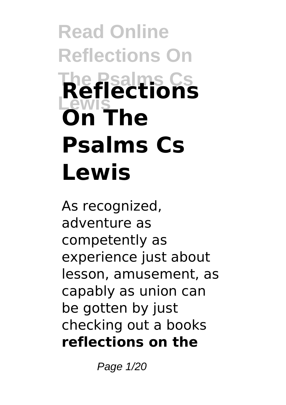# **Read Online Reflections On The Psalms Cs Lewis Reflections On The Psalms Cs Lewis**

As recognized, adventure as competently as experience just about lesson, amusement, as capably as union can be gotten by just checking out a books **reflections on the**

Page 1/20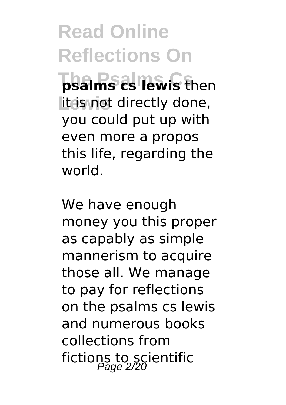**Read Online Reflections On The Psalms Cs psalms cs lewis** then lit is not directly done, you could put up with even more a propos this life, regarding the world.

We have enough money you this proper as capably as simple mannerism to acquire those all. We manage to pay for reflections on the psalms cs lewis and numerous books collections from fictions to scientific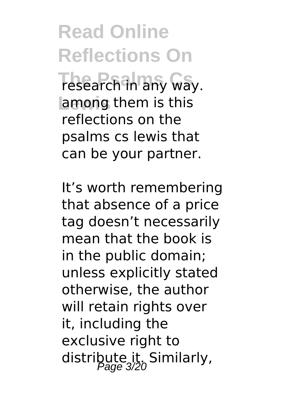**Read Online Reflections On Tesearch in any way. Lewis** among them is this reflections on the psalms cs lewis that can be your partner.

It's worth remembering that absence of a price tag doesn't necessarily mean that the book is in the public domain; unless explicitly stated otherwise, the author will retain rights over it, including the exclusive right to distribute it. Similarly,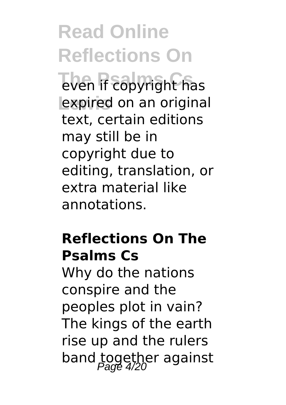**Read Online Reflections On The Psalms Copyright has** expired on an original text, certain editions may still be in copyright due to editing, translation, or extra material like annotations.

### **Reflections On The Psalms Cs**

Why do the nations conspire and the peoples plot in vain? The kings of the earth rise up and the rulers band together against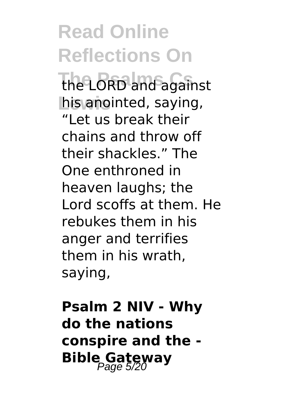**Read Online Reflections On The Psalms Cs** the LORD and against his anointed, saying, "Let us break their chains and throw off their shackles." The One enthroned in heaven laughs; the Lord scoffs at them. He rebukes them in his anger and terrifies them in his wrath, saying,

**Psalm 2 NIV - Why do the nations conspire and the - Bible Gateway**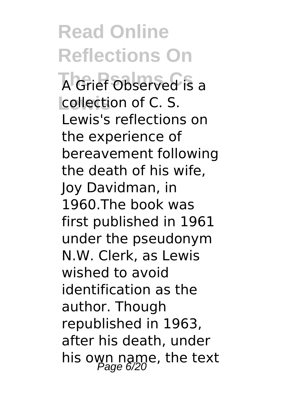**Read Online Reflections On The Psalms Cs** A Grief Observed is a **Lewis** collection of C. S. Lewis's reflections on the experience of bereavement following the death of his wife, Joy Davidman, in 1960.The book was first published in 1961 under the pseudonym N.W. Clerk, as Lewis wished to avoid identification as the author. Though republished in 1963, after his death, under his own name, the text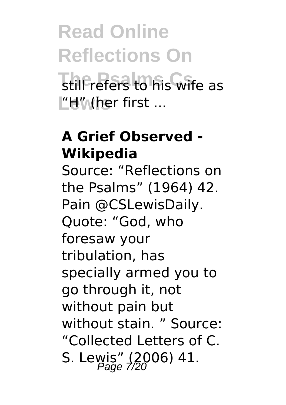# **Read Online Reflections On The Prefers to his wife as L'H" (her first ...**

### **A Grief Observed - Wikipedia**

Source: "Reflections on the Psalms" (1964) 42. Pain @CSLewisDaily. Quote: "God, who foresaw your tribulation, has specially armed you to go through it, not without pain but without stain. " Source: "Collected Letters of C. S. Lewis" (2006) 41.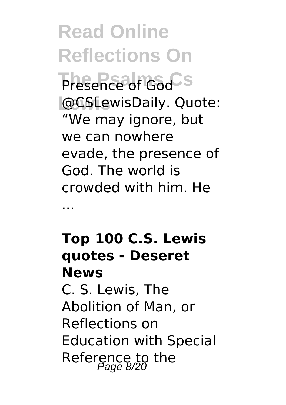**Read Online Reflections On Presence of God**<sup>S</sup> **Lewis** @CSLewisDaily. Quote: "We may ignore, but we can nowhere evade, the presence of God. The world is crowded with him. He

## **Top 100 C.S. Lewis quotes - Deseret News**

...

C. S. Lewis, The Abolition of Man, or Reflections on Education with Special Reference to the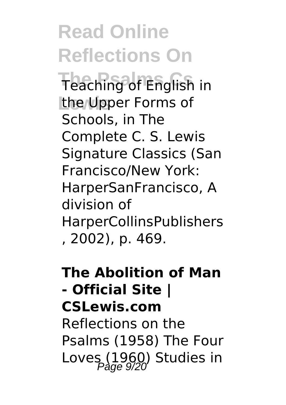**Read Online Reflections On** Teaching of English in **the Upper Forms of** Schools, in The Complete C. S. Lewis Signature Classics (San Francisco/New York: HarperSanFrancisco, A division of HarperCollinsPublishers , 2002), p. 469.

#### **The Abolition of Man - Official Site | CSLewis.com** Reflections on the

Psalms (1958) The Four Loves  $(1960)$  Studies in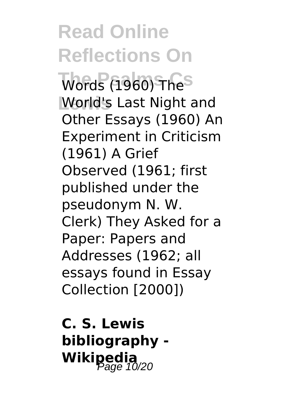# **Read Online Reflections On**

**Words (1960) The**<sup>S</sup> **Lewis** World's Last Night and Other Essays (1960) An Experiment in Criticism (1961) A Grief Observed (1961; first published under the pseudonym N. W. Clerk) They Asked for a Paper: Papers and Addresses (1962; all essays found in Essay Collection [2000])

**C. S. Lewis bibliography - Wikipedia**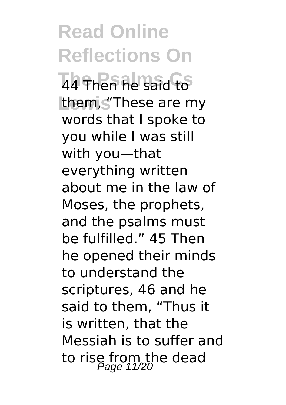**Read Online Reflections On Then he said to** them, s<sup>"</sup>These are my words that I spoke to you while I was still with you—that everything written about me in the law of Moses, the prophets, and the psalms must be fulfilled." 45 Then he opened their minds to understand the scriptures, 46 and he said to them, "Thus it is written, that the Messiah is to suffer and to rise from the dead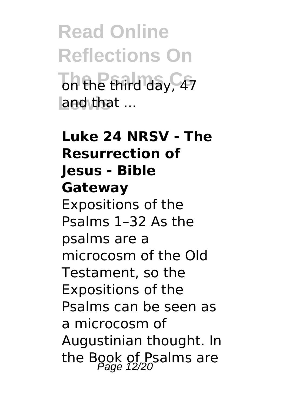**Read Online Reflections On That Hold day, 47 Lewis** and that ...

# **Luke 24 NRSV - The Resurrection of Jesus - Bible Gateway** Expositions of the Psalms 1–32 As the psalms are a microcosm of the Old Testament, so the Expositions of the Psalms can be seen as a microcosm of Augustinian thought. In the Book of Psalms are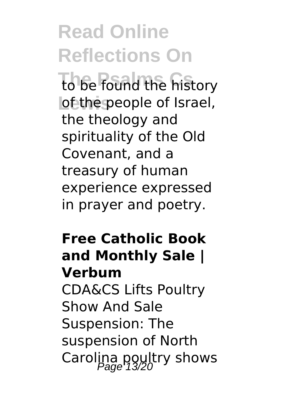# **Read Online Reflections On**

to be found the history **lof the people of Israel,** the theology and spirituality of the Old Covenant, and a treasury of human experience expressed in prayer and poetry.

## **Free Catholic Book and Monthly Sale | Verbum**

CDA&CS Lifts Poultry Show And Sale Suspension: The suspension of North Carolina poultry shows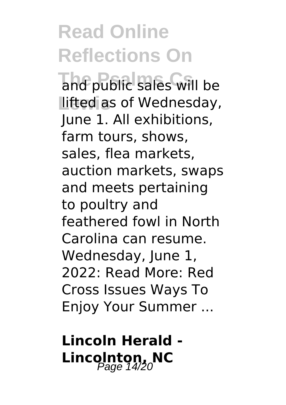**Read Online Reflections On The Psalms Cs** and public sales will be **Lifted as of Wednesday,** June 1. All exhibitions, farm tours, shows, sales, flea markets, auction markets, swaps and meets pertaining to poultry and feathered fowl in North Carolina can resume. Wednesday, June 1, 2022: Read More: Red Cross Issues Ways To Enjoy Your Summer ...

**Lincoln Herald -** Lincolnton, NC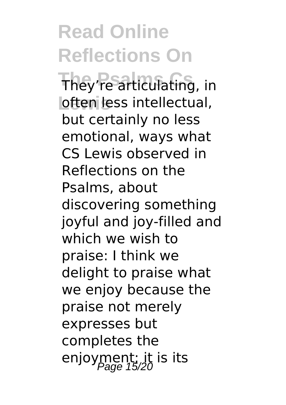# **Read Online Reflections On**

They're articulating, in **loften less intellectual,** but certainly no less emotional, ways what CS Lewis observed in Reflections on the Psalms, about discovering something joyful and joy-filled and which we wish to praise: I think we delight to praise what we enjoy because the praise not merely expresses but completes the enjoyment; it is its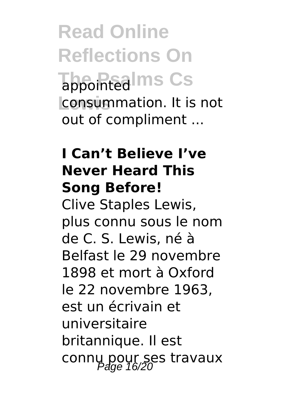**Read Online Reflections On Tappointed Ims Cs Lewis** consummation. It is not out of compliment ...

### **I Can't Believe I've Never Heard This Song Before!**

Clive Staples Lewis, plus connu sous le nom de C. S. Lewis, né à Belfast le 29 novembre 1898 et mort à Oxford le 22 novembre 1963, est un écrivain et universitaire britannique. Il est connu pour ses travaux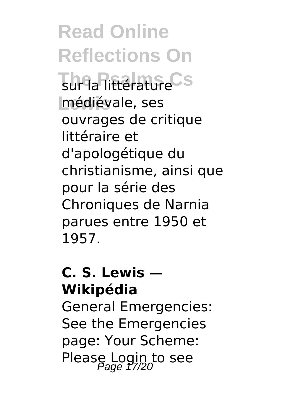**Read Online Reflections On** Tur la littérature<sup>Cs</sup> **Lewis** médiévale, ses ouvrages de critique littéraire et d'apologétique du christianisme, ainsi que pour la série des Chroniques de Narnia parues entre 1950 et 1957.

### **C. S. Lewis — Wikipédia**

General Emergencies: See the Emergencies page: Your Scheme: Please Login to see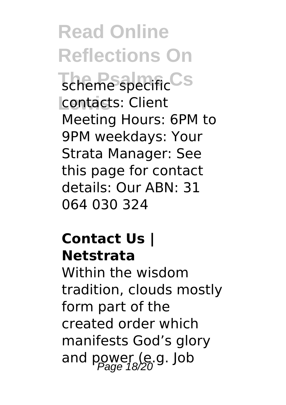**Read Online Reflections On The Psale Specific CS Lewis** contacts: Client Meeting Hours: 6PM to 9PM weekdays: Your Strata Manager: See this page for contact details: Our ABN: 31 064 030 324

### **Contact Us | Netstrata**

Within the wisdom tradition, clouds mostly form part of the created order which manifests God's glory and power (e.g. Job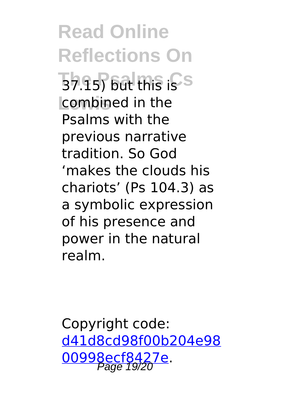**Read Online Reflections On 37.15) but this is s Lewis** combined in the Psalms with the previous narrative tradition. So God 'makes the clouds his chariots' (Ps 104.3) as a symbolic expression of his presence and power in the natural realm.

Copyright code: [d41d8cd98f00b204e98](/sitemap.xml) [00998ecf8427e.](/sitemap.xml)